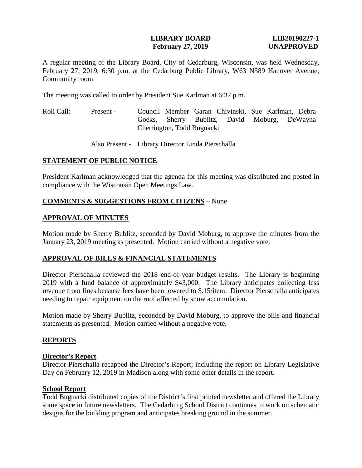## **LIBRARY BOARD LIB20190227-1 February 27, 2019 UNAPPROVED**

A regular meeting of the Library Board, City of Cedarburg, Wisconsin, was held Wednesday, February 27, 2019, 6:30 p.m. at the Cedarburg Public Library, W63 N589 Hanover Avenue, Community room.

The meeting was called to order by President Sue Karlman at 6:32 p.m.

Roll Call: Present - Council Member Garan Chivinski, Sue Karlman, Debra Goeks, Sherry Bublitz, David Moburg, DeWayna Cherrington, Todd Bugnacki

Also Present - Library Director Linda Pierschalla

# **STATEMENT OF PUBLIC NOTICE**

President Karlman acknowledged that the agenda for this meeting was distributed and posted in compliance with the Wisconsin Open Meetings Law.

# **COMMENTS & SUGGESTIONS FROM CITIZENS** – None

### **APPROVAL OF MINUTES**

Motion made by Sherry Bublitz, seconded by David Moburg, to approve the minutes from the January 23, 2019 meeting as presented. Motion carried without a negative vote.

# **APPROVAL OF BILLS & FINANCIAL STATEMENTS**

Director Pierschalla reviewed the 2018 end-of-year budget results. The Library is beginning 2019 with a fund balance of approximately \$43,000. The Library anticipates collecting less revenue from fines because fees have been lowered to \$.15/item. Director Pierschalla anticipates needing to repair equipment on the roof affected by snow accumulation.

Motion made by Sherry Bublitz, seconded by David Moburg, to approve the bills and financial statements as presented. Motion carried without a negative vote.

### **REPORTS**

### **Director's Report**

Director Pierschalla recapped the Director's Report; including the report on Library Legislative Day on February 12, 2019 in Madison along with some other details in the report.

# **School Report**

Todd Bugnacki distributed copies of the District's first printed newsletter and offered the Library some space in future newsletters. The Cedarburg School District continues to work on schematic designs for the building program and anticipates breaking ground in the summer.